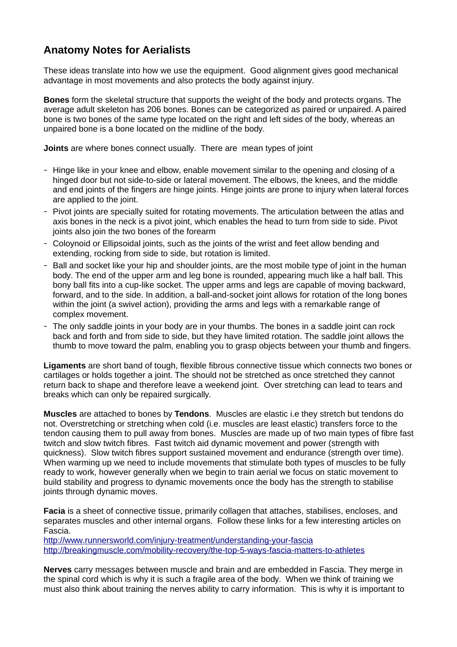## **Anatomy Notes for Aerialists**

These ideas translate into how we use the equipment. Good alignment gives good mechanical advantage in most movements and also protects the body against injury.

**Bones** form the skeletal structure that supports the weight of the body and protects organs. The average adult skeleton has 206 bones. Bones can be categorized as paired or unpaired. A paired bone is two bones of the same type located on the right and left sides of the body, whereas an unpaired bone is a bone located on the midline of the body.

**Joints** are where bones connect usually. There are mean types of joint

- Hinge like in your knee and elbow, enable movement similar to the opening and closing of a hinged door but not side-to-side or lateral movement. The elbows, the knees, and the middle and end joints of the fingers are hinge joints. Hinge joints are prone to injury when lateral forces are applied to the joint.
- Pivot joints are specially suited for rotating movements. The articulation between the atlas and axis bones in the neck is a pivot joint, which enables the head to turn from side to side. Pivot joints also join the two bones of the forearm
- Coloynoid or Ellipsoidal joints, such as the joints of the wrist and feet allow bending and extending, rocking from side to side, but rotation is limited.
- Ball and socket like your hip and shoulder joints, are the most mobile type of joint in the human body. The end of the upper arm and leg bone is rounded, appearing much like a half ball. This bony ball fits into a cup-like socket. The upper arms and legs are capable of moving backward, forward, and to the side. In addition, a ball-and-socket joint allows for rotation of the long bones within the joint (a swivel action), providing the arms and legs with a remarkable range of complex movement.
- The only saddle joints in your body are in your thumbs. The bones in a saddle joint can rock back and forth and from side to side, but they have limited rotation. The saddle joint allows the thumb to move toward the palm, enabling you to grasp objects between your thumb and fingers.

**Ligaments** are short band of tough, flexible fibrous connective tissue which connects two bones or cartilages or holds together a joint. The should not be stretched as once stretched they cannot return back to shape and therefore leave a weekend joint. Over stretching can lead to tears and breaks which can only be repaired surgically.

**Muscles** are attached to bones by **Tendons**. Muscles are elastic i.e they stretch but tendons do not. Overstretching or stretching when cold (i.e. muscles are least elastic) transfers force to the tendon causing them to pull away from bones. Muscles are made up of two main types of fibre fast twitch and slow twitch fibres. Fast twitch aid dynamic movement and power (strength with quickness). Slow twitch fibres support sustained movement and endurance (strength over time). When warming up we need to include movements that stimulate both types of muscles to be fully ready to work, however generally when we begin to train aerial we focus on static movement to build stability and progress to dynamic movements once the body has the strength to stabilise joints through dynamic moves.

**Facia** is a sheet of connective tissue, primarily collagen that attaches, stabilises, encloses, and separates muscles and other internal organs. Follow these links for a few interesting articles on Fascia.

<http://www.runnersworld.com/injury-treatment/understanding-your-fascia> <http://breakingmuscle.com/mobility-recovery/the-top-5-ways-fascia-matters-to-athletes>

**Nerves** carry messages between muscle and brain and are embedded in Fascia. They merge in the spinal cord which is why it is such a fragile area of the body. When we think of training we must also think about training the nerves ability to carry information. This is why it is important to